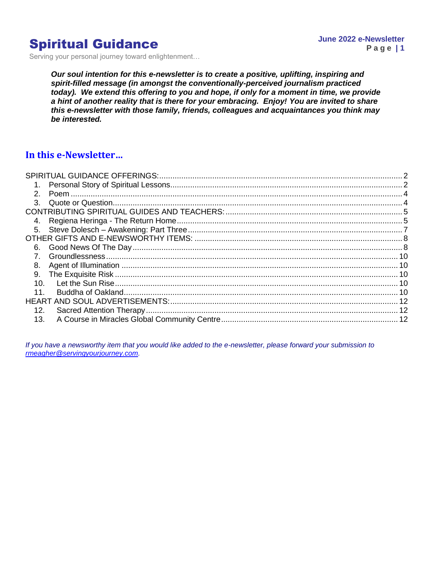Serving your personal journey toward enlightenment…

*Our soul intention for this e-newsletter is to create a positive, uplifting, inspiring and spirit-filled message (in amongst the conventionally-perceived journalism practiced today). We extend this offering to you and hope, if only for a moment in time, we provide a hint of another reality that is there for your embracing. Enjoy! You are invited to share this e-newsletter with those family, friends, colleagues and acquaintances you think may be interested.*

### **In this e-Newsletter…**

*If you have a newsworthy item that you would like added to the e-newsletter, please forward your submission to [rmeagher@servingyourjourney.com.](mailto:rmeagher@servingyourjourney.com)*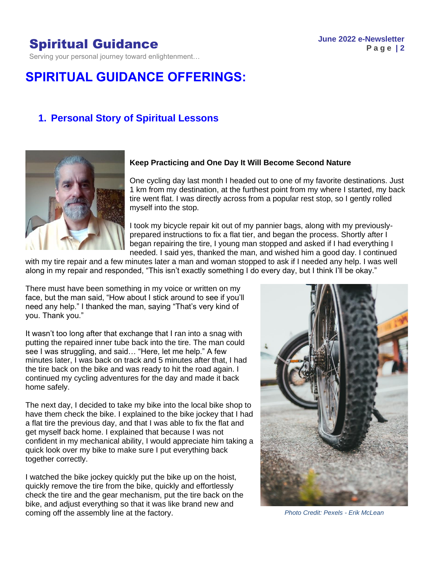Serving your personal journey toward enlightenment…

### **June 2022 e-Newsletter P a g e | 2**

# <span id="page-1-0"></span>**SPIRITUAL GUIDANCE OFFERINGS:**

### <span id="page-1-1"></span>**1. Personal Story of Spiritual Lessons**



#### **Keep Practicing and One Day It Will Become Second Nature**

One cycling day last month I headed out to one of my favorite destinations. Just 1 km from my destination, at the furthest point from my where I started, my back tire went flat. I was directly across from a popular rest stop, so I gently rolled myself into the stop.

I took my bicycle repair kit out of my pannier bags, along with my previouslyprepared instructions to fix a flat tier, and began the process. Shortly after I began repairing the tire, I young man stopped and asked if I had everything I needed. I said yes, thanked the man, and wished him a good day. I continued

with my tire repair and a few minutes later a man and woman stopped to ask if I needed any help. I was well along in my repair and responded, "This isn't exactly something I do every day, but I think I'll be okay."

There must have been something in my voice or written on my face, but the man said, "How about I stick around to see if you'll need any help." I thanked the man, saying "That's very kind of you. Thank you."

It wasn't too long after that exchange that I ran into a snag with putting the repaired inner tube back into the tire. The man could see I was struggling, and said… "Here, let me help." A few minutes later, I was back on track and 5 minutes after that, I had the tire back on the bike and was ready to hit the road again. I continued my cycling adventures for the day and made it back home safely.

The next day, I decided to take my bike into the local bike shop to have them check the bike. I explained to the bike jockey that I had a flat tire the previous day, and that I was able to fix the flat and get myself back home. I explained that because I was not confident in my mechanical ability, I would appreciate him taking a quick look over my bike to make sure I put everything back together correctly.

I watched the bike jockey quickly put the bike up on the hoist, quickly remove the tire from the bike, quickly and effortlessly check the tire and the gear mechanism, put the tire back on the bike, and adjust everything so that it was like brand new and coming off the assembly line at the factory. *Photo Credit: Pexels - Erik McLean*

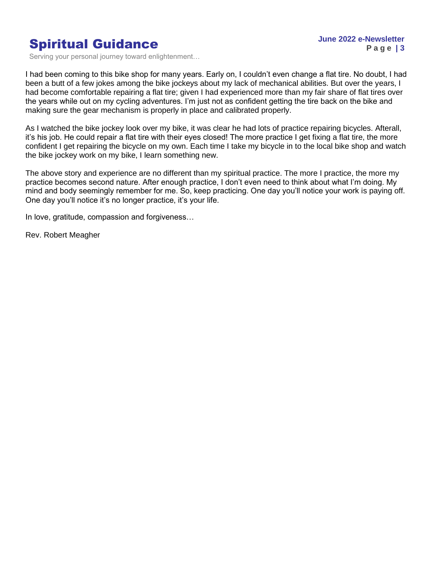Serving your personal journey toward enlightenment…

I had been coming to this bike shop for many years. Early on, I couldn't even change a flat tire. No doubt, I had been a butt of a few jokes among the bike jockeys about my lack of mechanical abilities. But over the years, I had become comfortable repairing a flat tire; given I had experienced more than my fair share of flat tires over the years while out on my cycling adventures. I'm just not as confident getting the tire back on the bike and making sure the gear mechanism is properly in place and calibrated properly.

As I watched the bike jockey look over my bike, it was clear he had lots of practice repairing bicycles. Afterall, it's his job. He could repair a flat tire with their eyes closed! The more practice I get fixing a flat tire, the more confident I get repairing the bicycle on my own. Each time I take my bicycle in to the local bike shop and watch the bike jockey work on my bike, I learn something new.

The above story and experience are no different than my spiritual practice. The more I practice, the more my practice becomes second nature. After enough practice, I don't even need to think about what I'm doing. My mind and body seemingly remember for me. So, keep practicing. One day you'll notice your work is paying off. One day you'll notice it's no longer practice, it's your life.

In love, gratitude, compassion and forgiveness…

Rev. Robert Meagher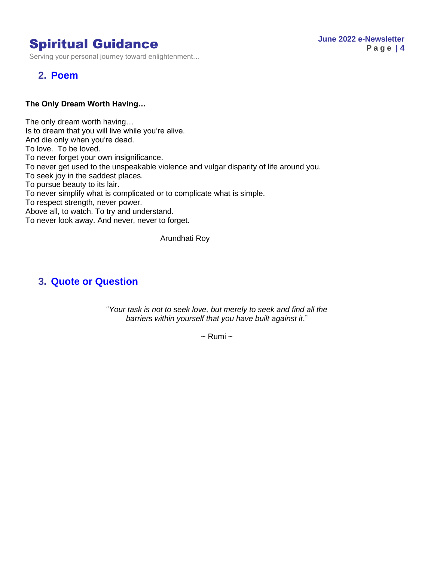Serving your personal journey toward enlightenment…

### <span id="page-3-0"></span>**2. Poem**

### **The Only Dream Worth Having…**

The only dream worth having… Is to dream that you will live while you're alive. And die only when you're dead. To love. To be loved. To never forget your own insignificance. To never get used to the unspeakable violence and vulgar disparity of life around you. To seek joy in the saddest places. To pursue beauty to its lair. To never simplify what is complicated or to complicate what is simple. To respect strength, never power. Above all, to watch. To try and understand. To never look away. And never, never to forget.

Arundhati Roy

### <span id="page-3-1"></span>**3. Quote or Question**

"*Your task is not to seek love, but merely to seek and find all the barriers within yourself that you have built against it*."

 $\sim$  Rumi  $\sim$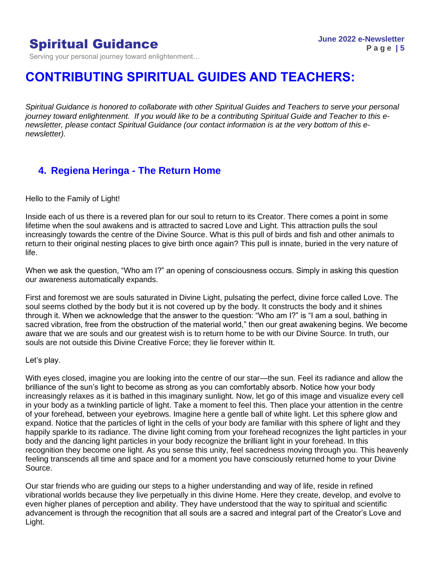Serving your personal journey toward enlightenment…

## <span id="page-4-0"></span>**CONTRIBUTING SPIRITUAL GUIDES AND TEACHERS:**

*Spiritual Guidance is honored to collaborate with other Spiritual Guides and Teachers to serve your personal journey toward enlightenment. If you would like to be a contributing Spiritual Guide and Teacher to this enewsletter, please contact Spiritual Guidance (our contact information is at the very bottom of this enewsletter).*

### <span id="page-4-1"></span>**4. Regiena Heringa - The Return Home**

#### Hello to the Family of Light!

Inside each of us there is a revered plan for our soul to return to its Creator. There comes a point in some lifetime when the soul awakens and is attracted to sacred Love and Light. This attraction pulls the soul increasingly towards the centre of the Divine Source. What is this pull of birds and fish and other animals to return to their original nesting places to give birth once again? This pull is innate, buried in the very nature of life.

When we ask the question, "Who am I?" an opening of consciousness occurs. Simply in asking this question our awareness automatically expands.

First and foremost we are souls saturated in Divine Light, pulsating the perfect, divine force called Love. The soul seems clothed by the body but it is not covered up by the body. It constructs the body and it shines through it. When we acknowledge that the answer to the question: "Who am I?" is "I am a soul, bathing in sacred vibration, free from the obstruction of the material world," then our great awakening begins. We become aware that we are souls and our greatest wish is to return home to be with our Divine Source. In truth, our souls are not outside this Divine Creative Force; they lie forever within It.

#### Let's play.

With eyes closed, imagine you are looking into the centre of our star—the sun. Feel its radiance and allow the brilliance of the sun's light to become as strong as you can comfortably absorb. Notice how your body increasingly relaxes as it is bathed in this imaginary sunlight. Now, let go of this image and visualize every cell in your body as a twinkling particle of light. Take a moment to feel this. Then place your attention in the centre of your forehead, between your eyebrows. Imagine here a gentle ball of white light. Let this sphere glow and expand. Notice that the particles of light in the cells of your body are familiar with this sphere of light and they happily sparkle to its radiance. The divine light coming from your forehead recognizes the light particles in your body and the dancing light particles in your body recognize the brilliant light in your forehead. In this recognition they become one light. As you sense this unity, feel sacredness moving through you. This heavenly feeling transcends all time and space and for a moment you have consciously returned home to your Divine Source.

Our star friends who are guiding our steps to a higher understanding and way of life, reside in refined vibrational worlds because they live perpetually in this divine Home. Here they create, develop, and evolve to even higher planes of perception and ability. They have understood that the way to spiritual and scientific advancement is through the recognition that all souls are a sacred and integral part of the Creator's Love and Light.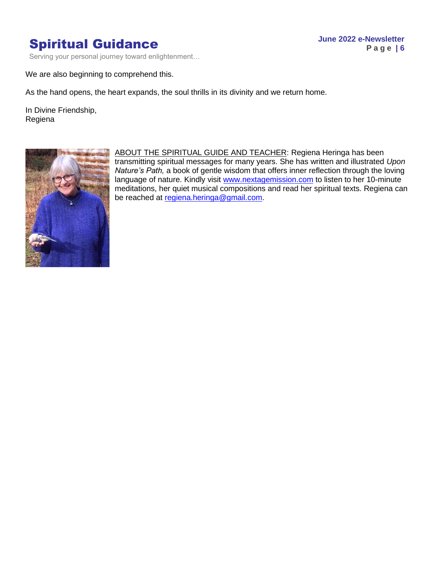Serving your personal journey toward enlightenment…

We are also beginning to comprehend this.

As the hand opens, the heart expands, the soul thrills in its divinity and we return home.

In Divine Friendship, Regiena



ABOUT THE SPIRITUAL GUIDE AND TEACHER: Regiena Heringa has been transmitting spiritual messages for many years. She has written and illustrated *Upon Nature's Path,* a book of gentle wisdom that offers inner reflection through the loving language of nature. Kindly visit [www.nextagemission.com](http://www.nextagemission.com/) to listen to her 10-minute meditations, her quiet musical compositions and read her spiritual texts. Regiena can be reached at [regiena.heringa@gmail.com.](mailto:regiena.heringa@gmail.com)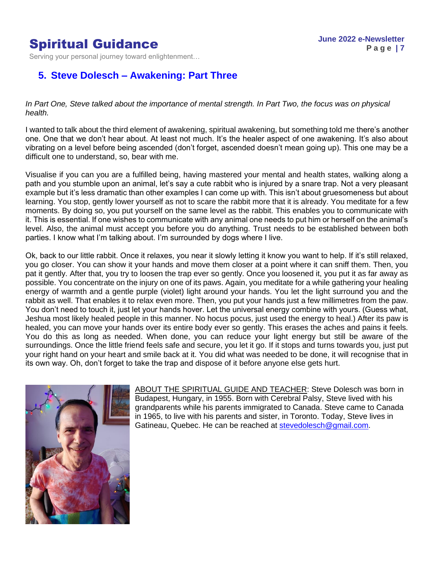Serving your personal journey toward enlightenment…

## <span id="page-6-0"></span>**5. Steve Dolesch – Awakening: Part Three**

*In Part One, Steve talked about the importance of mental strength. In Part Two, the focus was on physical health.*

I wanted to talk about the third element of awakening, spiritual awakening, but something told me there's another one. One that we don't hear about. At least not much. It's the healer aspect of one awakening. It's also about vibrating on a level before being ascended (don't forget, ascended doesn't mean going up). This one may be a difficult one to understand, so, bear with me.

Visualise if you can you are a fulfilled being, having mastered your mental and health states, walking along a path and you stumble upon an animal, let's say a cute rabbit who is injured by a snare trap. Not a very pleasant example but it's less dramatic than other examples I can come up with. This isn't about gruesomeness but about learning. You stop, gently lower yourself as not to scare the rabbit more that it is already. You meditate for a few moments. By doing so, you put yourself on the same level as the rabbit. This enables you to communicate with it. This is essential. If one wishes to communicate with any animal one needs to put him or herself on the animal's level. Also, the animal must accept you before you do anything. Trust needs to be established between both parties. I know what I'm talking about. I'm surrounded by dogs where I live.

Ok, back to our little rabbit. Once it relaxes, you near it slowly letting it know you want to help. If it's still relaxed, you go closer. You can show it your hands and move them closer at a point where it can sniff them. Then, you pat it gently. After that, you try to loosen the trap ever so gently. Once you loosened it, you put it as far away as possible. You concentrate on the injury on one of its paws. Again, you meditate for a while gathering your healing energy of warmth and a gentle purple (violet) light around your hands. You let the light surround you and the rabbit as well. That enables it to relax even more. Then, you put your hands just a few millimetres from the paw. You don't need to touch it, just let your hands hover. Let the universal energy combine with yours. (Guess what, Jeshua most likely healed people in this manner. No hocus pocus, just used the energy to heal.) After its paw is healed, you can move your hands over its entire body ever so gently. This erases the aches and pains it feels. You do this as long as needed. When done, you can reduce your light energy but still be aware of the surroundings. Once the little friend feels safe and secure, you let it go. If it stops and turns towards you, just put your right hand on your heart and smile back at it. You did what was needed to be done, it will recognise that in its own way. Oh, don't forget to take the trap and dispose of it before anyone else gets hurt.



ABOUT THE SPIRITUAL GUIDE AND TEACHER: Steve Dolesch was born in Budapest, Hungary, in 1955. Born with Cerebral Palsy, Steve lived with his grandparents while his parents immigrated to Canada. Steve came to Canada in 1965, to live with his parents and sister, in Toronto. Today, Steve lives in Gatineau, Quebec. He can be reached at [stevedolesch@gmail.com.](mailto:stevedolesch@gmail.com)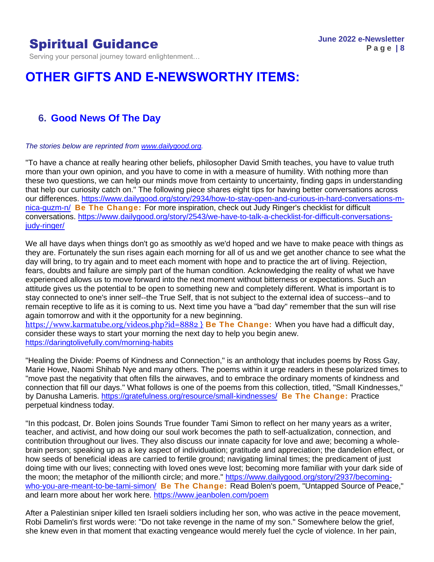Serving your personal journey toward enlightenment…

# <span id="page-7-0"></span>**OTHER GIFTS AND E-NEWSWORTHY ITEMS:**

## <span id="page-7-1"></span>**6. Good News Of The Day**

#### *The stories below are reprinted from [www.dailygood.org.](http://www.dailygood.org/)*

"To have a chance at really hearing other beliefs, philosopher David Smith teaches, you have to value truth more than your own opinion, and you have to come in with a measure of humility. With nothing more than these two questions, we can help our minds move from certainty to uncertainty, finding gaps in understanding that help our curiosity catch on." The following piece shares eight tips for having better conversations across our differences. [https://www.dailygood.org/story/2934/how-to-stay-open-and-curious-in-hard-conversations-m](https://www.dailygood.org/story/2934/how-to-stay-open-and-curious-in-hard-conversations-m-nica-guzm-n/)[nica-guzm-n/](https://www.dailygood.org/story/2934/how-to-stay-open-and-curious-in-hard-conversations-m-nica-guzm-n/) **Be The Change:** For more inspiration, check out Judy Ringer's checklist for difficult conversations. [https://www.dailygood.org/story/2543/we-have-to-talk-a-checklist-for-difficult-conversations](https://www.dailygood.org/story/2543/we-have-to-talk-a-checklist-for-difficult-conversations-judy-ringer/)[judy-ringer/](https://www.dailygood.org/story/2543/we-have-to-talk-a-checklist-for-difficult-conversations-judy-ringer/)

We all have days when things don't go as smoothly as we'd hoped and we have to make peace with things as they are. Fortunately the sun rises again each morning for all of us and we get another chance to see what the day will bring, to try again and to meet each moment with hope and to practice the art of living. Rejection, fears, doubts and failure are simply part of the human condition. Acknowledging the reality of what we have experienced allows us to move forward into the next moment without bitterness or expectations. Such an attitude gives us the potential to be open to something new and completely different. What is important is to stay connected to one's inner self--the True Self, that is not subject to the external idea of success--and to remain receptive to life as it is coming to us. Next time you have a "bad day" remember that the sun will rise again tomorrow and with it the opportunity for a new beginning.

[https://www.karmatube.org/videos.php?id=8882 }](https://www.karmatube.org/videos.php?id=8882%20%7d) **Be The Change:** When you have had a difficult day, consider these ways to start your morning the next day to help you begin anew. <https://daringtolivefully.com/morning-habits>

"Healing the Divide: Poems of Kindness and Connection," is an anthology that includes poems by Ross Gay, Marie Howe, Naomi Shihab Nye and many others. The poems within it urge readers in these polarized times to "move past the negativity that often fills the airwaves, and to embrace the ordinary moments of kindness and connection that fill our days." What follows is one of the poems from this collection, titled, "Small Kindnesses," by Danusha Lameris. <https://gratefulness.org/resource/small-kindnesses/>**Be The Change:** Practice perpetual kindness today.

"In this podcast, Dr. Bolen joins Sounds True founder Tami Simon to reflect on her many years as a writer, teacher, and activist, and how doing our soul work becomes the path to self-actualization, connection, and contribution throughout our lives. They also discuss our innate capacity for love and awe; becoming a wholebrain person; speaking up as a key aspect of individuation; gratitude and appreciation; the dandelion effect, or how seeds of beneficial ideas are carried to fertile ground; navigating liminal times; the predicament of just doing time with our lives; connecting with loved ones weve lost; becoming more familiar with your dark side of the moon; the metaphor of the millionth circle; and more." [https://www.dailygood.org/story/2937/becoming](https://www.dailygood.org/story/2937/becoming-who-you-are-meant-to-be-tami-simon/)[who-you-are-meant-to-be-tami-simon/](https://www.dailygood.org/story/2937/becoming-who-you-are-meant-to-be-tami-simon/) **Be The Change:** Read Bolen's poem, "Untapped Source of Peace," and learn more about her work here.<https://www.jeanbolen.com/poem>

After a Palestinian sniper killed ten Israeli soldiers including her son, who was active in the peace movement, Robi Damelin's first words were: "Do not take revenge in the name of my son." Somewhere below the grief, she knew even in that moment that exacting vengeance would merely fuel the cycle of violence. In her pain,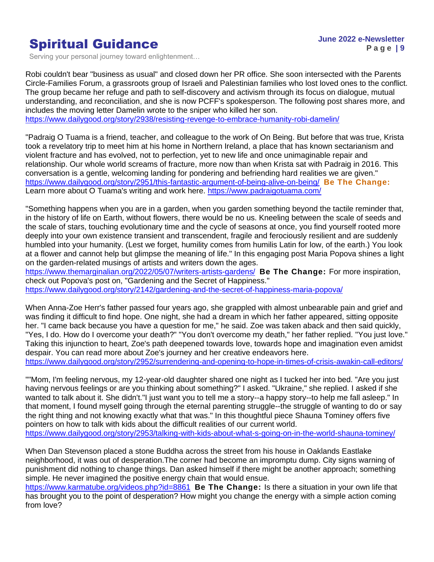Serving your personal journey toward enlightenment…

Robi couldn't bear "business as usual" and closed down her PR office. She soon intersected with the Parents Circle-Families Forum, a grassroots group of Israeli and Palestinian families who lost loved ones to the conflict. The group became her refuge and path to self-discovery and activism through its focus on dialogue, mutual understanding, and reconciliation, and she is now PCFF's spokesperson. The following post shares more, and includes the moving letter Damelin wrote to the sniper who killed her son. <https://www.dailygood.org/story/2938/resisting-revenge-to-embrace-humanity-robi-damelin/>

"Padraig O Tuama is a friend, teacher, and colleague to the work of On Being. But before that was true, Krista took a revelatory trip to meet him at his home in Northern Ireland, a place that has known sectarianism and violent fracture and has evolved, not to perfection, yet to new life and once unimaginable repair and relationship. Our whole world screams of fracture, more now than when Krista sat with Padraig in 2016. This conversation is a gentle, welcoming landing for pondering and befriending hard realities we are given." <https://www.dailygood.org/story/2951/this-fantastic-argument-of-being-alive-on-being/>**Be The Change:**  Learn more about O Tuama's writing and work here.<https://www.padraigotuama.com/>

"Something happens when you are in a garden, when you garden something beyond the tactile reminder that, in the history of life on Earth, without flowers, there would be no us. Kneeling between the scale of seeds and the scale of stars, touching evolutionary time and the cycle of seasons at once, you find yourself rooted more deeply into your own existence transient and transcendent, fragile and ferociously resilient and are suddenly humbled into your humanity. (Lest we forget, humility comes from humilis Latin for low, of the earth.) You look at a flower and cannot help but glimpse the meaning of life." In this engaging post Maria Popova shines a light on the garden-related musings of artists and writers down the ages.

<https://www.themarginalian.org/2022/05/07/writers-artists-gardens/>**Be The Change:** For more inspiration, check out Popova's post on, "Gardening and the Secret of Happiness."

<https://www.dailygood.org/story/2142/gardening-and-the-secret-of-happiness-maria-popova/>

When Anna-Zoe Herr's father passed four years ago, she grappled with almost unbearable pain and grief and was finding it difficult to find hope. One night, she had a dream in which her father appeared, sitting opposite her. "I came back because you have a question for me," he said. Zoe was taken aback and then said quickly, "Yes, I do. How do I overcome your death?" "You don't overcome my death," her father replied. "You just love." Taking this injunction to heart, Zoe's path deepened towards love, towards hope and imagination even amidst despair. You can read more about Zoe's journey and her creative endeavors here.

<https://www.dailygood.org/story/2952/surrendering-and-opening-to-hope-in-times-of-crisis-awakin-call-editors/>

""Mom, I'm feeling nervous, my 12-year-old daughter shared one night as I tucked her into bed. "Are you just having nervous feelings or are you thinking about something?" I asked. "Ukraine," she replied. I asked if she wanted to talk about it. She didn't."I just want you to tell me a story--a happy story--to help me fall asleep." In that moment, I found myself going through the eternal parenting struggle--the struggle of wanting to do or say the right thing and not knowing exactly what that was." In this thoughtful piece Shauna Tominey offers five pointers on how to talk with kids about the difficult realities of our current world.

<https://www.dailygood.org/story/2953/talking-with-kids-about-what-s-going-on-in-the-world-shauna-tominey/>

When Dan Stevenson placed a stone Buddha across the street from his house in Oaklands Eastlake neighborhood, it was out of desperation.The corner had become an impromptu dump. City signs warning of punishment did nothing to change things. Dan asked himself if there might be another approach; something simple. He never imagined the positive energy chain that would ensue.

<https://www.karmatube.org/videos.php?id=8861>**Be The Change:** Is there a situation in your own life that has brought you to the point of desperation? How might you change the energy with a simple action coming from love?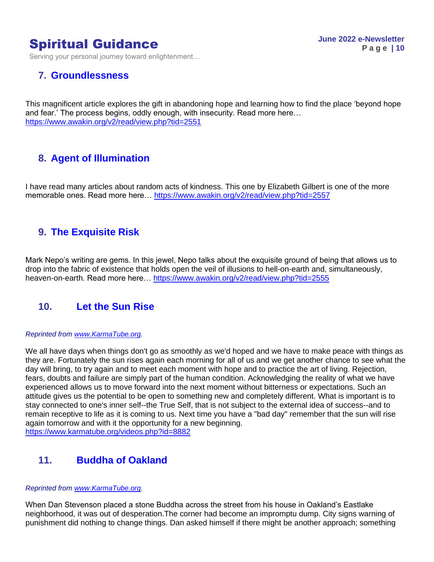Serving your personal journey toward enlightenment…

### <span id="page-9-0"></span>**7. Groundlessness**

This magnificent article explores the gift in abandoning hope and learning how to find the place 'beyond hope and fear.' The process begins, oddly enough, with insecurity. Read more here… <https://www.awakin.org/v2/read/view.php?tid=2551>

### <span id="page-9-1"></span>**8. Agent of Illumination**

I have read many articles about random acts of kindness. This one by Elizabeth Gilbert is one of the more memorable ones. Read more here…<https://www.awakin.org/v2/read/view.php?tid=2557>

### <span id="page-9-2"></span>**9. The Exquisite Risk**

Mark Nepo's writing are gems. In this jewel, Nepo talks about the exquisite ground of being that allows us to drop into the fabric of existence that holds open the veil of illusions to hell-on-earth and, simultaneously, heaven-on-earth. Read more here…<https://www.awakin.org/v2/read/view.php?tid=2555>

### <span id="page-9-3"></span>**10. Let the Sun Rise**

#### *Reprinted from [www.KarmaTube.org.](http://www.karmatube.org/)*

We all have days when things don't go as smoothly as we'd hoped and we have to make peace with things as they are. Fortunately the sun rises again each morning for all of us and we get another chance to see what the day will bring, to try again and to meet each moment with hope and to practice the art of living. Rejection, fears, doubts and failure are simply part of the human condition. Acknowledging the reality of what we have experienced allows us to move forward into the next moment without bitterness or expectations. Such an attitude gives us the potential to be open to something new and completely different. What is important is to stay connected to one's inner self--the True Self, that is not subject to the external idea of success--and to remain receptive to life as it is coming to us. Next time you have a "bad day" remember that the sun will rise again tomorrow and with it the opportunity for a new beginning. <https://www.karmatube.org/videos.php?id=8882>

## <span id="page-9-4"></span>**11. Buddha of Oakland**

#### *Reprinted from [www.KarmaTube.org.](http://www.karmatube.org/)*

When Dan Stevenson placed a stone Buddha across the street from his house in Oakland's Eastlake neighborhood, it was out of desperation.The corner had become an impromptu dump. City signs warning of punishment did nothing to change things. Dan asked himself if there might be another approach; something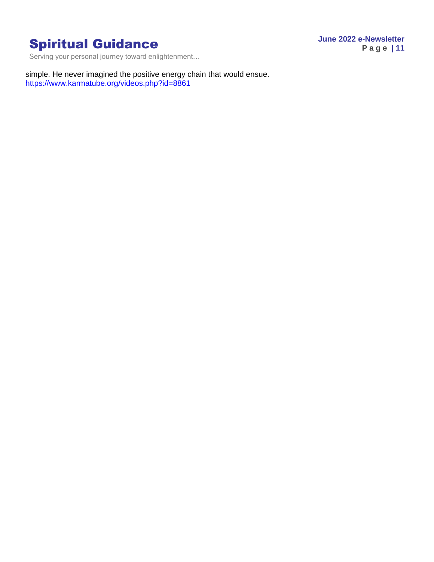Serving your personal journey toward enlightenment…

simple. He never imagined the positive energy chain that would ensue. <https://www.karmatube.org/videos.php?id=8861>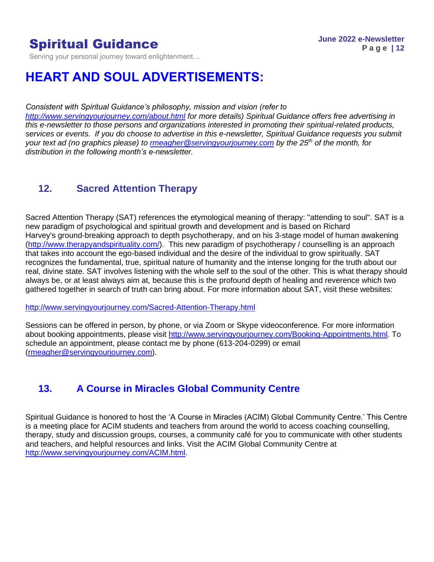Serving your personal journey toward enlightenment…

# <span id="page-11-0"></span>**HEART AND SOUL ADVERTISEMENTS:**

*Consistent with Spiritual Guidance's philosophy, mission and vision (refer to* 

*<http://www.servingyourjourney.com/about.html> for more details) Spiritual Guidance offers free advertising in this e-newsletter to those persons and organizations interested in promoting their spiritual-related products, services or events. If you do choose to advertise in this e-newsletter, Spiritual Guidance requests you submit your text ad (no graphics please) to [rmeagher@servingyourjourney.com](mailto:rmeagher@istar.ca) by the 25th of the month, for distribution in the following month's e-newsletter.*

### <span id="page-11-1"></span>**12. Sacred Attention Therapy**

Sacred Attention Therapy (SAT) references the etymological meaning of therapy: "attending to soul". SAT is a new paradigm of psychological and spiritual growth and development and is based on Richard Harvey's ground-breaking approach to depth psychotherapy, and on his 3-stage model of human awakening [\(http://www.therapyandspirituality.com/\)](http://www.therapyandspirituality.com/). This new paradigm of psychotherapy / counselling is an approach that takes into account the ego-based individual and the desire of the individual to grow spiritually. SAT recognizes the fundamental, true, spiritual nature of humanity and the intense longing for the truth about our real, divine state. SAT involves listening with the whole self to the soul of the other. This is what therapy should always be, or at least always aim at, because this is the profound depth of healing and reverence which two gathered together in search of truth can bring about. For more information about SAT, visit these websites:

### <http://www.servingyourjourney.com/Sacred-Attention-Therapy.html>

Sessions can be offered in person, by phone, or via Zoom or Skype videoconference. For more information about booking appointments, please visit [http://www.servingyourjourney.com/Booking-Appointments.html.](http://www.servingyourjourney.com/Booking-Appointments.html) To schedule an appointment, please contact me by phone (613-204-0299) or email [\(rmeagher@servingyourjourney.com\)](mailto:rmeagher@servingyourjourney.com).

## <span id="page-11-2"></span>**13. A Course in Miracles Global Community Centre**

Spiritual Guidance is honored to host the 'A Course in Miracles (ACIM) Global Community Centre.' This Centre is a meeting place for ACIM students and teachers from around the world to access coaching counselling, therapy, study and discussion groups, courses, a community café for you to communicate with other students and teachers, and helpful resources and links. Visit the ACIM Global Community Centre at [http://www.servingyourjourney.com/ACIM.html.](http://www.servingyourjourney.com/ACIM.html)